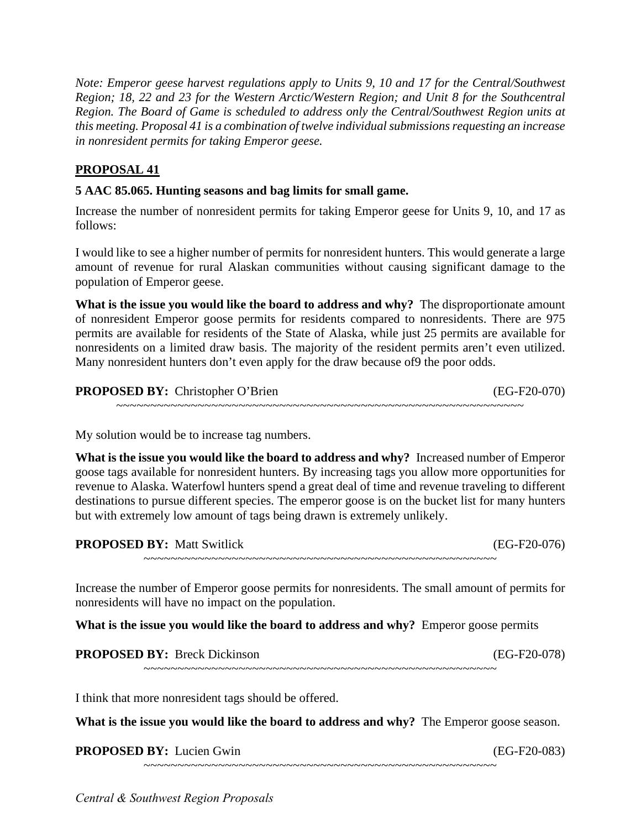*this meeting. Proposal 41 is a combination of twelve individual submissions requesting an increase Note: Emperor geese harvest regulations apply to Units 9, 10 and 17 for the Central/Southwest Region; 18, 22 and 23 for the Western Arctic/Western Region; and Unit 8 for the Southcentral Region. The Board of Game is scheduled to address only the Central/Southwest Region units at in nonresident permits for taking Emperor geese.* 

## **PROPOSAL 41**

## **5 AAC 85.065. Hunting seasons and bag limits for small game.**

Increase the number of nonresident permits for taking Emperor geese for Units 9, 10, and 17 as follows:

 I would like to see a higher number of permits for nonresident hunters. This would generate a large amount of revenue for rural Alaskan communities without causing significant damage to the population of Emperor geese.

 **What is the issue you would like the board to address and why?** The disproportionate amount permits are available for residents of the State of Alaska, while just 25 permits are available for of nonresident Emperor goose permits for residents compared to nonresidents. There are 975 nonresidents on a limited draw basis. The majority of the resident permits aren't even utilized. Many nonresident hunters don't even apply for the draw because of9 the poor odds.

## **PROPOSED BY:** Christopher O'Brien (EG-F20-070)

~~~~~~~~~~~~~~~~~~~~~~~~~~~~~~~~~~~~~~~~~~~~~~~~~~~~~~~~~~~~

My solution would be to increase tag numbers.

 **What is the issue you would like the board to address and why?** Increased number of Emperor goose tags available for nonresident hunters. By increasing tags you allow more opportunities for revenue to Alaska. Waterfowl hunters spend a great deal of time and revenue traveling to different destinations to pursue different species. The emperor goose is on the bucket list for many hunters but with extremely low amount of tags being drawn is extremely unlikely.

| <b>PROPOSED BY: Matt Switlick</b> | $(EG-F20-076)$ |  |
|-----------------------------------|----------------|--|
|                                   |                |  |

 Increase the number of Emperor goose permits for nonresidents. The small amount of permits for nonresidents will have no impact on the population.

**What is the issue you would like the board to address and why?** Emperor goose permits

**PROPOSED BY:** Breck Dickinson (EG-F20-078)

I think that more nonresident tags should be offered.

What is the issue you would like the board to address and why? The Emperor goose season.

~~~~~~~~~~~~~~~~~~~~~~~~~~~~~~~~~~~~~~~~~~~~~~~~~~~~

**PROPOSED BY:** Lucien Gwin (EG-F20-083) ~~~~~~~~~~~~~~~~~~~~~~~~~~~~~~~~~~~~~~~~~~~~~~~~~~~~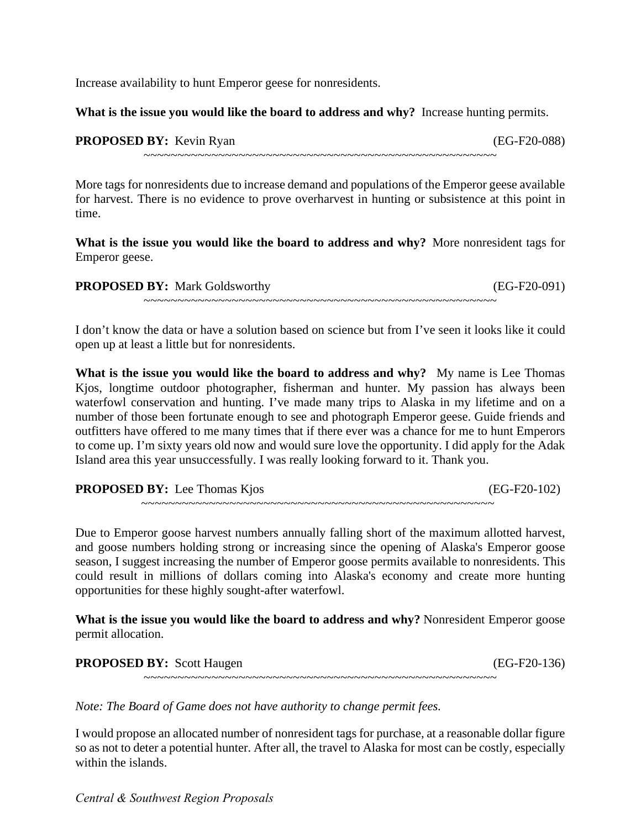Increase availability to hunt Emperor geese for nonresidents.

What is the issue you would like the board to address and why? Increase hunting permits.

| <b>PROPOSED BY:</b> Kevin Ryan |
|--------------------------------|
|                                |

(EG-F20-088)

~~~~~~~~~~~~~~~~~~~~~~~~~~~~~~~~~~~~~~~~~~~~~~~~~~~~

More tags for nonresidents due to increase demand and populations of the Emperor geese available for harvest. There is no evidence to prove overharvest in hunting or subsistence at this point in time.

 **What is the issue you would like the board to address and why?** More nonresident tags for Emperor geese.

| <b>PROPOSED BY: Mark Goldsworthy</b> | $(EG-F20-091)$ |  |
|--------------------------------------|----------------|--|
|                                      |                |  |

 I don't know the data or have a solution based on science but from I've seen it looks like it could open up at least a little but for nonresidents.

What is the issue you would like the board to address and why? My name is Lee Thomas Kjos, longtime outdoor photographer, fisherman and hunter. My passion has always been waterfowl conservation and hunting. I've made many trips to Alaska in my lifetime and on a number of those been fortunate enough to see and photograph Emperor geese. Guide friends and outfitters have offered to me many times that if there ever was a chance for me to hunt Emperors to come up. I'm sixty years old now and would sure love the opportunity. I did apply for the Adak Island area this year unsuccessfully. I was really looking forward to it. Thank you.

**PROPOSED BY:** Lee Thomas Kjos (EG-F20-102)

Due to Emperor goose harvest numbers annually falling short of the maximum allotted harvest, and goose numbers holding strong or increasing since the opening of Alaska's Emperor goose season, I suggest increasing the number of Emperor goose permits available to nonresidents. This could result in millions of dollars coming into Alaska's economy and create more hunting opportunities for these highly sought-after waterfowl.

~~~~~~~~~~~~~~~~~~~~~~~~~~~~~~~~~~~~~~~~~~~~~~~~~~~~

**What is the issue you would like the board to address and why?** Nonresident Emperor goose permit allocation.

**PROPOSED BY:** Scott Haugen (EG-F20-136) ~~~~~~~~~~~~~~~~~~~~~~~~~~~~~~~~~~~~~~~~~~~~~~~~~~~~

*Note: The Board of Game does not have authority to change permit fees.* 

 I would propose an allocated number of nonresident tags for purchase, at a reasonable dollar figure so as not to deter a potential hunter. After all, the travel to Alaska for most can be costly, especially within the islands.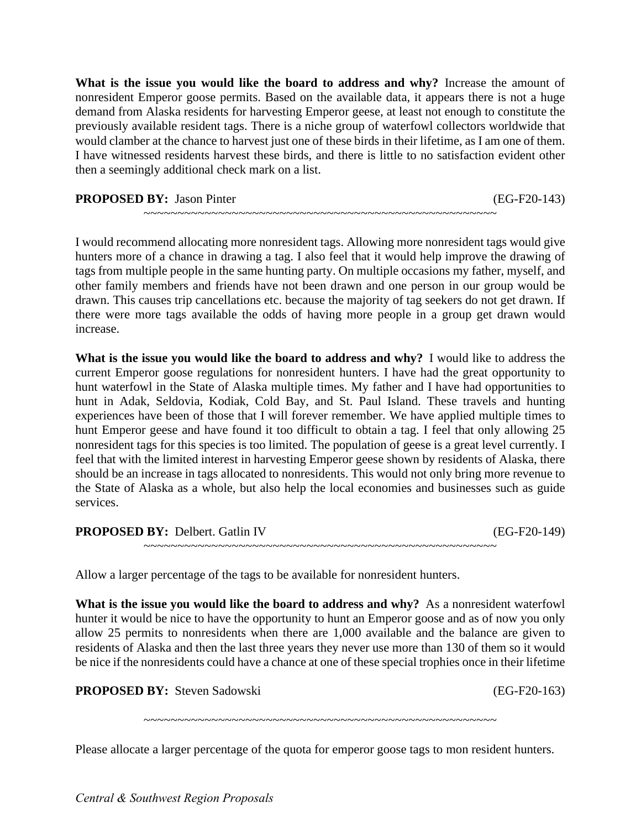What is the issue you would like the board to address and why? Increase the amount of nonresident Emperor goose permits. Based on the available data, it appears there is not a huge demand from Alaska residents for harvesting Emperor geese, at least not enough to constitute the would clamber at the chance to harvest just one of these birds in their lifetime, as I am one of them. previously available resident tags. There is a niche group of waterfowl collectors worldwide that I have witnessed residents harvest these birds, and there is little to no satisfaction evident other then a seemingly additional check mark on a list.

**PROPOSED BY:** Jason Pinter (EG-F20-143)

I would recommend allocating more nonresident tags. Allowing more nonresident tags would give hunters more of a chance in drawing a tag. I also feel that it would help improve the drawing of tags from multiple people in the same hunting party. On multiple occasions my father, myself, and other family members and friends have not been drawn and one person in our group would be drawn. This causes trip cancellations etc. because the majority of tag seekers do not get drawn. If there were more tags available the odds of having more people in a group get drawn would increase.

~~~~~~~~~~~~~~~~~~~~~~~~~~~~~~~~~~~~~~~~~~~~~~~~~~~~

What is the issue you would like the board to address and why? I would like to address the experiences have been of those that I will forever remember. We have applied multiple times to hunt Emperor geese and have found it too difficult to obtain a tag. I feel that only allowing 25 the State of Alaska as a whole, but also help the local economies and businesses such as guide current Emperor goose regulations for nonresident hunters. I have had the great opportunity to hunt waterfowl in the State of Alaska multiple times. My father and I have had opportunities to hunt in Adak, Seldovia, Kodiak, Cold Bay, and St. Paul Island. These travels and hunting nonresident tags for this species is too limited. The population of geese is a great level currently. I feel that with the limited interest in harvesting Emperor geese shown by residents of Alaska, there should be an increase in tags allocated to nonresidents. This would not only bring more revenue to services.

**PROPOSED BY:** Delbert. Gatlin IV (EG-F20-149) ~~~~~~~~~~~~~~~~~~~~~~~~~~~~~~~~~~~~~~~~~~~~~~~~~~~~

Allow a larger percentage of the tags to be available for nonresident hunters.

 allow 25 permits to nonresidents when there are 1,000 available and the balance are given to residents of Alaska and then the last three years they never use more than 130 of them so it would **What is the issue you would like the board to address and why?** As a nonresident waterfowl hunter it would be nice to have the opportunity to hunt an Emperor goose and as of now you only be nice if the nonresidents could have a chance at one of these special trophies once in their lifetime

**PROPOSED BY:** Steven Sadowski (EG-F20-163)

~~~~~~~~~~~~~~~~~~~~~~~~~~~~~~~~~~~~~~~~~~~~~~~~~~~~

Please allocate a larger percentage of the quota for emperor goose tags to mon resident hunters.